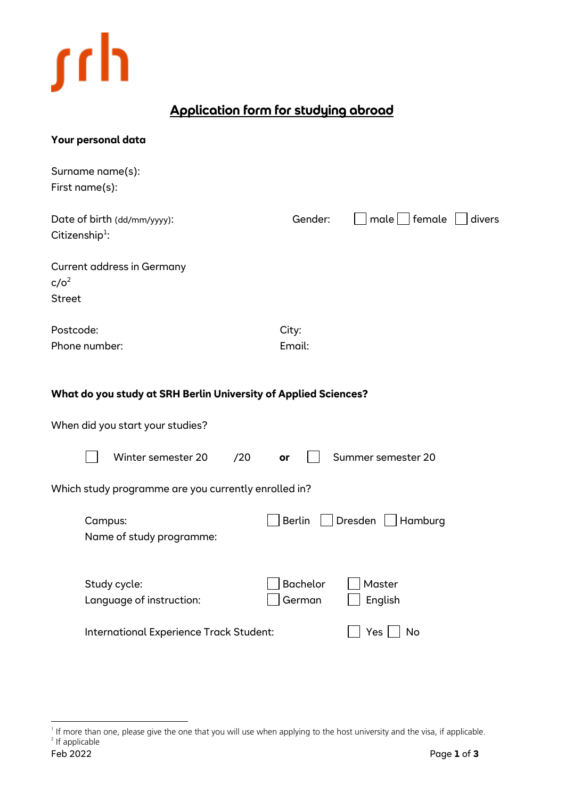

# **Application form for studying abroad**

| Your personal data                                                                                                               |                                                 |
|----------------------------------------------------------------------------------------------------------------------------------|-------------------------------------------------|
| Surname name(s):<br>First name(s):                                                                                               |                                                 |
| Date of birth (dd/mm/yyyy):<br>Citizenship <sup>1</sup> :                                                                        | Gender:<br>$male \mid$   female $\mid$   divers |
| <b>Current address in Germany</b><br>c/o <sup>2</sup><br><b>Street</b>                                                           |                                                 |
| Postcode:                                                                                                                        | City:                                           |
| Phone number:                                                                                                                    | Email:                                          |
| What do you study at SRH Berlin University of Applied Sciences?<br>When did you start your studies?<br>Winter semester 20<br>/20 | Summer semester 20<br>or                        |
| Which study programme are you currently enrolled in?                                                                             |                                                 |
| Campus:<br>Name of study programme:                                                                                              | Dresden  <br>Berlin<br>Hamburg                  |
| Study cycle:<br>Language of instruction:                                                                                         | <b>Bachelor</b><br>Master<br>German<br>English  |
| <b>International Experience Track Student:</b>                                                                                   | Yes<br>No                                       |

Feb 2022 Page **1** of **3** <sup>1</sup> If more than one, please give the one that you will use when applying to the host university and the visa, if applicable.<br><sup>2</sup> If applicable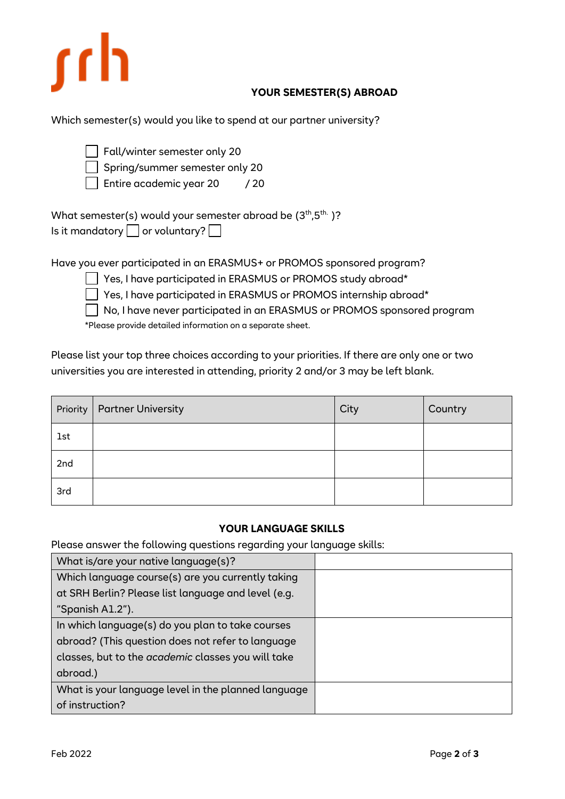

### **YOUR SEMESTER(S) ABROAD**

| Which semester(s) would you like to spend at our partner university? |  |  |  |  |
|----------------------------------------------------------------------|--|--|--|--|
|                                                                      |  |  |  |  |

Fall/winter semester only 20

Spring/summer semester only 20

Entire academic year 20 / 20

| What semester(s) would your semester abroad be $(3th,5th)$ ? |
|--------------------------------------------------------------|
| Is it mandatory $\Box$ or voluntary? $\Box$                  |

Have you ever participated in an ERASMUS+ or PROMOS sponsored program?

 $\Box$  Yes, I have participated in ERASMUS or PROMOS study abroad\*

Yes, I have participated in ERASMUS or PROMOS internship abroad\*

 No, I have never participated in an ERASMUS or PROMOS sponsored program \*Please provide detailed information on a separate sheet.

Please list your top three choices according to your priorities. If there are only one or two universities you are interested in attending, priority 2 and/or 3 may be left blank.

|     | <b>Priority   Partner University</b> | City | Country |
|-----|--------------------------------------|------|---------|
| 1st |                                      |      |         |
| 2nd |                                      |      |         |
| 3rd |                                      |      |         |

# **YOUR LANGUAGE SKILLS**

Please answer the following questions regarding your language skills:

| What is/are your native language(s)?                |  |
|-----------------------------------------------------|--|
| Which language course(s) are you currently taking   |  |
| at SRH Berlin? Please list language and level (e.g. |  |
| "Spanish A1.2").                                    |  |
| In which language(s) do you plan to take courses    |  |
| abroad? (This question does not refer to language   |  |
| classes, but to the academic classes you will take  |  |
| abroad.)                                            |  |
| What is your language level in the planned language |  |
| of instruction?                                     |  |